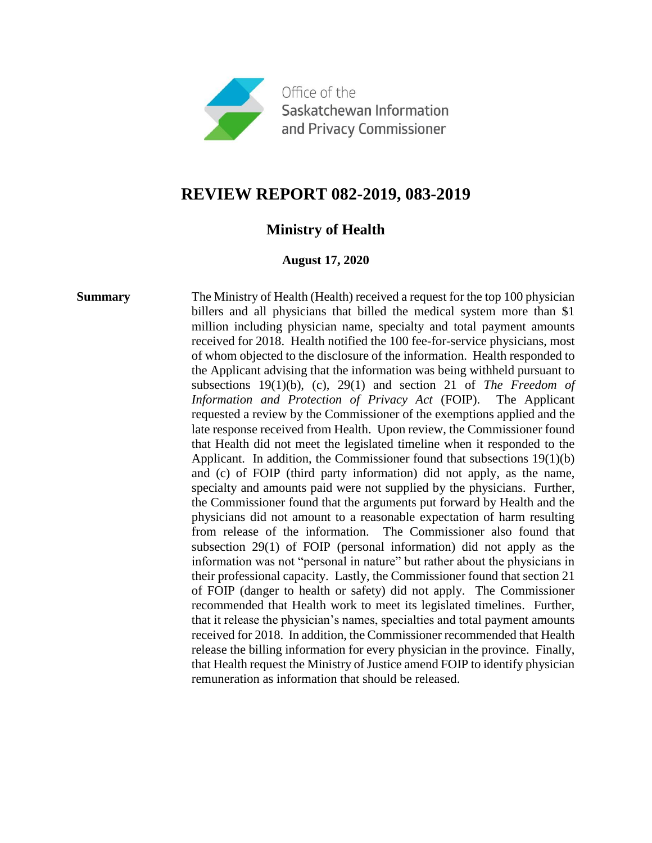

# **REVIEW REPORT 082-2019, 083-2019**

## **Ministry of Health**

## **August 17, 2020**

**Summary** The Ministry of Health (Health) received a request for the top 100 physician billers and all physicians that billed the medical system more than \$1 million including physician name, specialty and total payment amounts received for 2018. Health notified the 100 fee-for-service physicians, most of whom objected to the disclosure of the information. Health responded to the Applicant advising that the information was being withheld pursuant to subsections 19(1)(b), (c), 29(1) and section 21 of *The Freedom of Information and Protection of Privacy Act* (FOIP). The Applicant requested a review by the Commissioner of the exemptions applied and the late response received from Health. Upon review, the Commissioner found that Health did not meet the legislated timeline when it responded to the Applicant. In addition, the Commissioner found that subsections 19(1)(b) and (c) of FOIP (third party information) did not apply, as the name, specialty and amounts paid were not supplied by the physicians. Further, the Commissioner found that the arguments put forward by Health and the physicians did not amount to a reasonable expectation of harm resulting from release of the information. The Commissioner also found that subsection 29(1) of FOIP (personal information) did not apply as the information was not "personal in nature" but rather about the physicians in their professional capacity. Lastly, the Commissioner found that section 21 of FOIP (danger to health or safety) did not apply. The Commissioner recommended that Health work to meet its legislated timelines. Further, that it release the physician's names, specialties and total payment amounts received for 2018. In addition, the Commissioner recommended that Health release the billing information for every physician in the province. Finally, that Health request the Ministry of Justice amend FOIP to identify physician remuneration as information that should be released.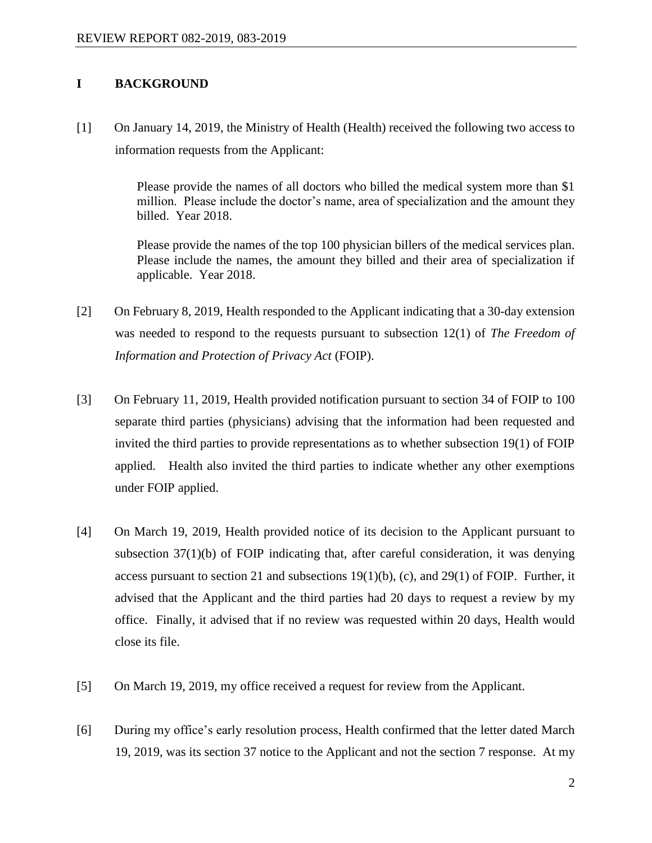## **I BACKGROUND**

[1] On January 14, 2019, the Ministry of Health (Health) received the following two access to information requests from the Applicant:

> Please provide the names of all doctors who billed the medical system more than \$1 million. Please include the doctor's name, area of specialization and the amount they billed. Year 2018.

> Please provide the names of the top 100 physician billers of the medical services plan. Please include the names, the amount they billed and their area of specialization if applicable. Year 2018.

- [2] On February 8, 2019, Health responded to the Applicant indicating that a 30-day extension was needed to respond to the requests pursuant to subsection 12(1) of *The Freedom of Information and Protection of Privacy Act* (FOIP).
- [3] On February 11, 2019, Health provided notification pursuant to section 34 of FOIP to 100 separate third parties (physicians) advising that the information had been requested and invited the third parties to provide representations as to whether subsection 19(1) of FOIP applied. Health also invited the third parties to indicate whether any other exemptions under FOIP applied.
- [4] On March 19, 2019, Health provided notice of its decision to the Applicant pursuant to subsection 37(1)(b) of FOIP indicating that, after careful consideration, it was denying access pursuant to section 21 and subsections  $19(1)(b)$ , (c), and  $29(1)$  of FOIP. Further, it advised that the Applicant and the third parties had 20 days to request a review by my office. Finally, it advised that if no review was requested within 20 days, Health would close its file.
- [5] On March 19, 2019, my office received a request for review from the Applicant.
- [6] During my office's early resolution process, Health confirmed that the letter dated March 19, 2019, was its section 37 notice to the Applicant and not the section 7 response. At my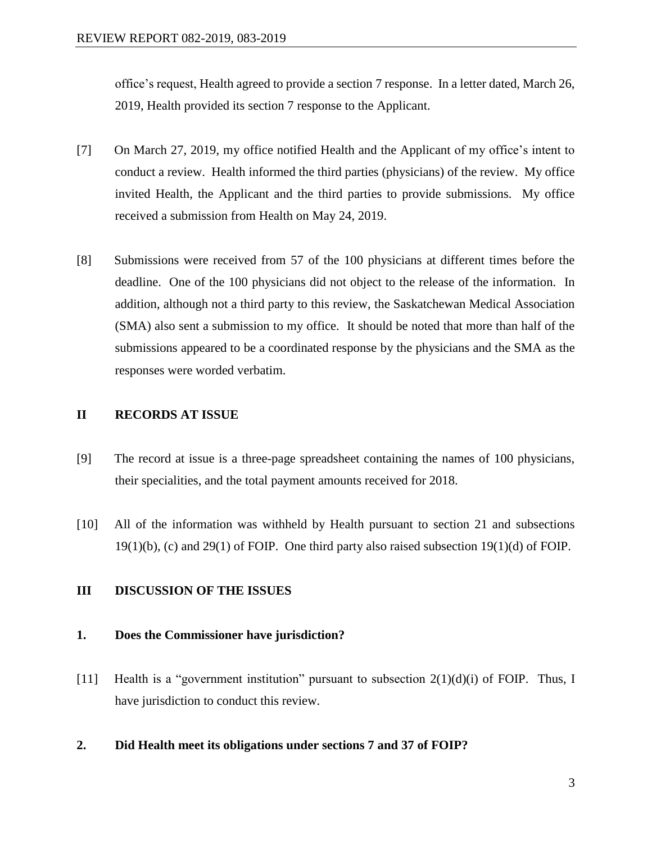office's request, Health agreed to provide a section 7 response. In a letter dated, March 26, 2019, Health provided its section 7 response to the Applicant.

- [7] On March 27, 2019, my office notified Health and the Applicant of my office's intent to conduct a review. Health informed the third parties (physicians) of the review. My office invited Health, the Applicant and the third parties to provide submissions. My office received a submission from Health on May 24, 2019.
- [8] Submissions were received from 57 of the 100 physicians at different times before the deadline. One of the 100 physicians did not object to the release of the information. In addition, although not a third party to this review, the Saskatchewan Medical Association (SMA) also sent a submission to my office. It should be noted that more than half of the submissions appeared to be a coordinated response by the physicians and the SMA as the responses were worded verbatim.

## **II RECORDS AT ISSUE**

- [9] The record at issue is a three-page spreadsheet containing the names of 100 physicians, their specialities, and the total payment amounts received for 2018.
- [10] All of the information was withheld by Health pursuant to section 21 and subsections 19(1)(b), (c) and 29(1) of FOIP. One third party also raised subsection 19(1)(d) of FOIP.

## **III DISCUSSION OF THE ISSUES**

## **1. Does the Commissioner have jurisdiction?**

- [11] Health is a "government institution" pursuant to subsection 2(1)(d)(i) of FOIP. Thus, I have jurisdiction to conduct this review.
- **2. Did Health meet its obligations under sections 7 and 37 of FOIP?**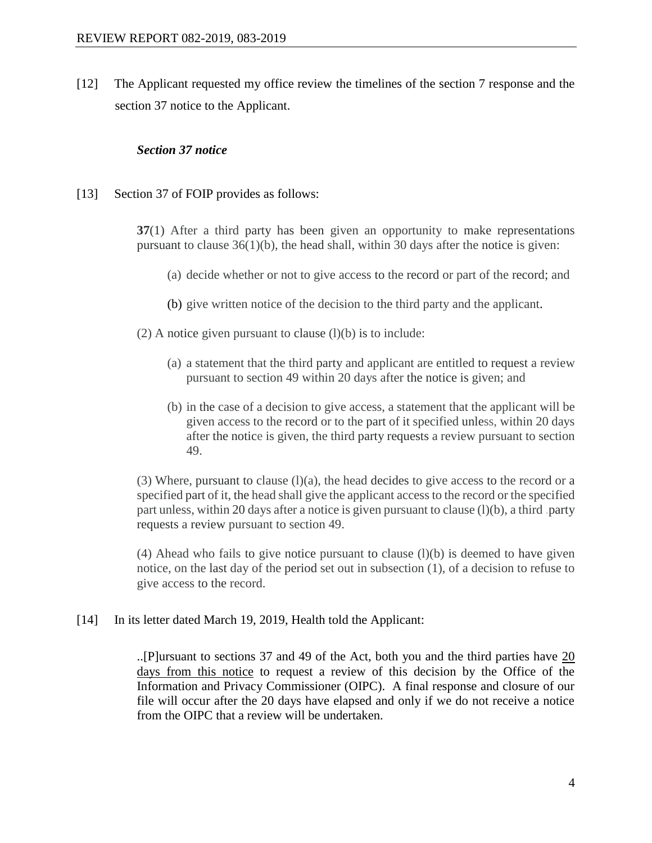[12] The Applicant requested my office review the timelines of the section 7 response and the section 37 notice to the Applicant.

## *Section 37 notice*

[13] Section 37 of FOIP provides as follows:

**37**(1) After a third party has been given an opportunity to make representations pursuant to clause 36(1)(b), the head shall, within 30 days after the notice is given:

- (a) decide whether or not to give access to the record or part of the record; and
- (b) give written notice of the decision to the third party and the applicant.
- (2) A notice given pursuant to clause  $(l)(b)$  is to include:
	- (a) a statement that the third party and applicant are entitled to request a review pursuant to section 49 within 20 days after the notice is given; and
	- (b) in the case of a decision to give access, a statement that the applicant will be given access to the record or to the part of it specified unless, within 20 days after the notice is given, the third party requests a review pursuant to section 49.

(3) Where, pursuant to clause  $(l)(a)$ , the head decides to give access to the record or a specified part of it, the head shall give the applicant access to the record or the specified part unless, within 20 days after a notice is given pursuant to clause (l)(b), a third .party requests a review pursuant to section 49.

 $(4)$  Ahead who fails to give notice pursuant to clause  $(l)(b)$  is deemed to have given notice, on the last day of the period set out in subsection (1), of a decision to refuse to give access to the record.

[14] In its letter dated March 19, 2019, Health told the Applicant:

..[P]ursuant to sections 37 and 49 of the Act, both you and the third parties have 20 days from this notice to request a review of this decision by the Office of the Information and Privacy Commissioner (OIPC). A final response and closure of our file will occur after the 20 days have elapsed and only if we do not receive a notice from the OIPC that a review will be undertaken.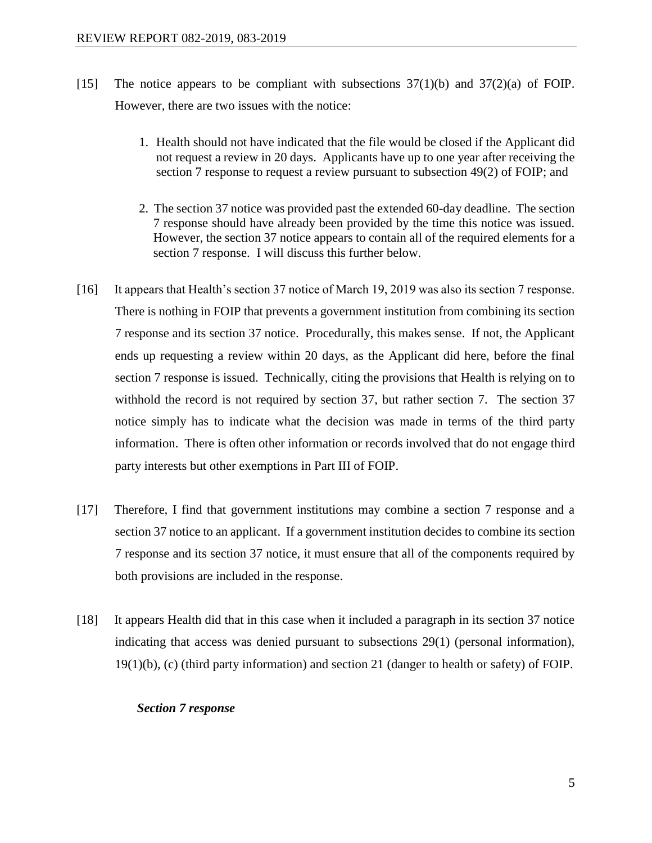- [15] The notice appears to be compliant with subsections  $37(1)(b)$  and  $37(2)(a)$  of FOIP. However, there are two issues with the notice:
	- 1. Health should not have indicated that the file would be closed if the Applicant did not request a review in 20 days. Applicants have up to one year after receiving the section 7 response to request a review pursuant to subsection 49(2) of FOIP; and
	- 2. The section 37 notice was provided past the extended 60-day deadline. The section 7 response should have already been provided by the time this notice was issued. However, the section 37 notice appears to contain all of the required elements for a section 7 response. I will discuss this further below.
- [16] It appears that Health's section 37 notice of March 19, 2019 was also its section 7 response. There is nothing in FOIP that prevents a government institution from combining its section 7 response and its section 37 notice. Procedurally, this makes sense. If not, the Applicant ends up requesting a review within 20 days, as the Applicant did here, before the final section 7 response is issued. Technically, citing the provisions that Health is relying on to withhold the record is not required by section 37, but rather section 7. The section 37 notice simply has to indicate what the decision was made in terms of the third party information. There is often other information or records involved that do not engage third party interests but other exemptions in Part III of FOIP.
- [17] Therefore, I find that government institutions may combine a section 7 response and a section 37 notice to an applicant. If a government institution decides to combine its section 7 response and its section 37 notice, it must ensure that all of the components required by both provisions are included in the response.
- [18] It appears Health did that in this case when it included a paragraph in its section 37 notice indicating that access was denied pursuant to subsections 29(1) (personal information), 19(1)(b), (c) (third party information) and section 21 (danger to health or safety) of FOIP.

## *Section 7 response*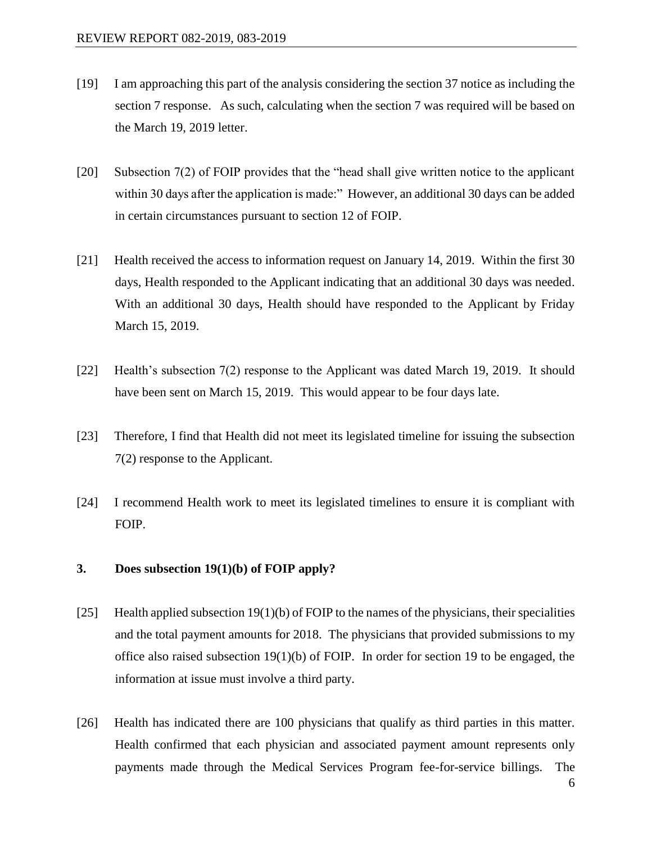- [19] I am approaching this part of the analysis considering the section 37 notice as including the section 7 response. As such, calculating when the section 7 was required will be based on the March 19, 2019 letter.
- [20] Subsection 7(2) of FOIP provides that the "head shall give written notice to the applicant within 30 days after the application is made:" However, an additional 30 days can be added in certain circumstances pursuant to section 12 of FOIP.
- [21] Health received the access to information request on January 14, 2019. Within the first 30 days, Health responded to the Applicant indicating that an additional 30 days was needed. With an additional 30 days, Health should have responded to the Applicant by Friday March 15, 2019.
- [22] Health's subsection 7(2) response to the Applicant was dated March 19, 2019. It should have been sent on March 15, 2019. This would appear to be four days late.
- [23] Therefore, I find that Health did not meet its legislated timeline for issuing the subsection 7(2) response to the Applicant.
- [24] I recommend Health work to meet its legislated timelines to ensure it is compliant with FOIP.

## **3. Does subsection 19(1)(b) of FOIP apply?**

- [25] Health applied subsection  $19(1)(b)$  of FOIP to the names of the physicians, their specialities and the total payment amounts for 2018. The physicians that provided submissions to my office also raised subsection 19(1)(b) of FOIP. In order for section 19 to be engaged, the information at issue must involve a third party.
- [26] Health has indicated there are 100 physicians that qualify as third parties in this matter. Health confirmed that each physician and associated payment amount represents only payments made through the Medical Services Program fee-for-service billings. The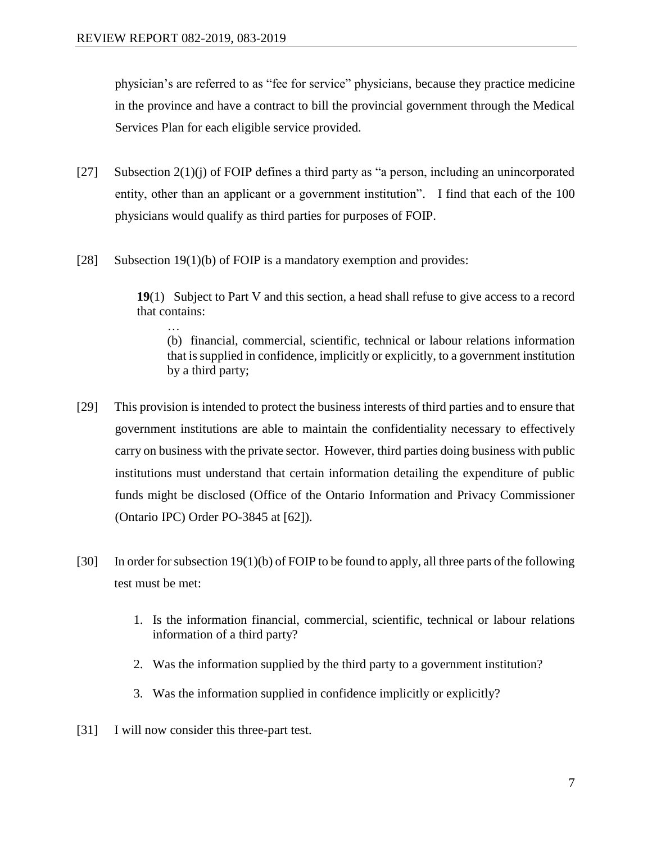physician's are referred to as "fee for service" physicians, because they practice medicine in the province and have a contract to bill the provincial government through the Medical Services Plan for each eligible service provided.

- [27] Subsection  $2(1)(j)$  of FOIP defines a third party as "a person, including an unincorporated entity, other than an applicant or a government institution". I find that each of the 100 physicians would qualify as third parties for purposes of FOIP.
- [28] Subsection 19(1)(b) of FOIP is a mandatory exemption and provides:

**19**(1) Subject to Part V and this section, a head shall refuse to give access to a record that contains:

… (b) financial, commercial, scientific, technical or labour relations information that is supplied in confidence, implicitly or explicitly, to a government institution by a third party;

- [29] This provision is intended to protect the business interests of third parties and to ensure that government institutions are able to maintain the confidentiality necessary to effectively carry on business with the private sector. However, third parties doing business with public institutions must understand that certain information detailing the expenditure of public funds might be disclosed (Office of the Ontario Information and Privacy Commissioner (Ontario IPC) Order PO-3845 at [62]).
- [30] In order for subsection 19(1)(b) of FOIP to be found to apply, all three parts of the following test must be met:
	- 1. Is the information financial, commercial, scientific, technical or labour relations information of a third party?
	- 2. Was the information supplied by the third party to a government institution?
	- 3. Was the information supplied in confidence implicitly or explicitly?
- [31] I will now consider this three-part test.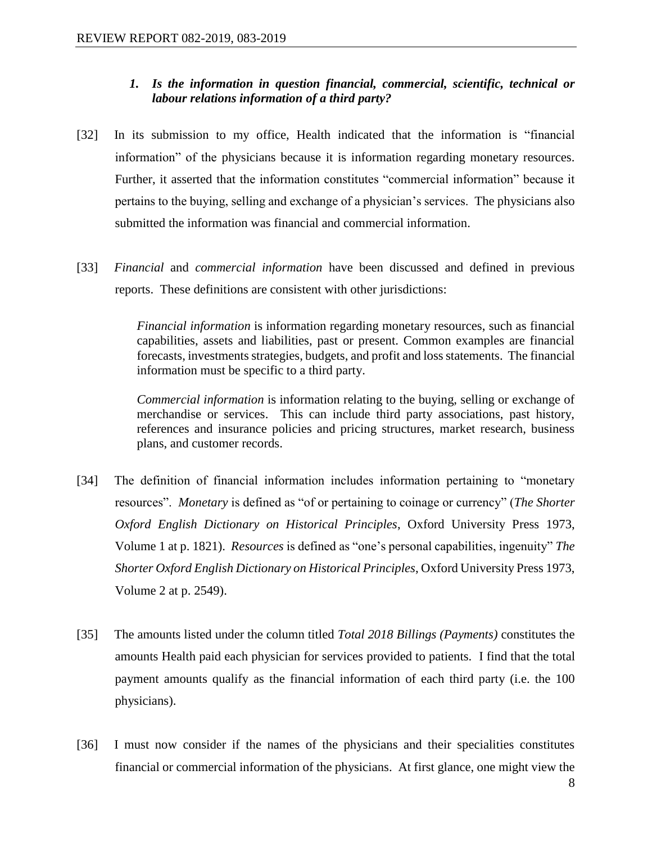## *1. Is the information in question financial, commercial, scientific, technical or labour relations information of a third party?*

- [32] In its submission to my office, Health indicated that the information is "financial information" of the physicians because it is information regarding monetary resources. Further, it asserted that the information constitutes "commercial information" because it pertains to the buying, selling and exchange of a physician's services. The physicians also submitted the information was financial and commercial information.
- [33] *Financial* and *commercial information* have been discussed and defined in previous reports. These definitions are consistent with other jurisdictions:

*Financial information* is information regarding monetary resources, such as financial capabilities, assets and liabilities, past or present. Common examples are financial forecasts, investments strategies, budgets, and profit and loss statements. The financial information must be specific to a third party.

*Commercial information* is information relating to the buying, selling or exchange of merchandise or services. This can include third party associations, past history, references and insurance policies and pricing structures, market research, business plans, and customer records.

- [34] The definition of financial information includes information pertaining to "monetary resources". *Monetary* is defined as "of or pertaining to coinage or currency" (*The Shorter Oxford English Dictionary on Historical Principles*, Oxford University Press 1973, Volume 1 at p. 1821). *Resources* is defined as "one's personal capabilities, ingenuity" *The Shorter Oxford English Dictionary on Historical Principles*, Oxford University Press 1973, Volume 2 at p. 2549).
- [35] The amounts listed under the column titled *Total 2018 Billings (Payments)* constitutes the amounts Health paid each physician for services provided to patients. I find that the total payment amounts qualify as the financial information of each third party (i.e. the 100 physicians).
- [36] I must now consider if the names of the physicians and their specialities constitutes financial or commercial information of the physicians. At first glance, one might view the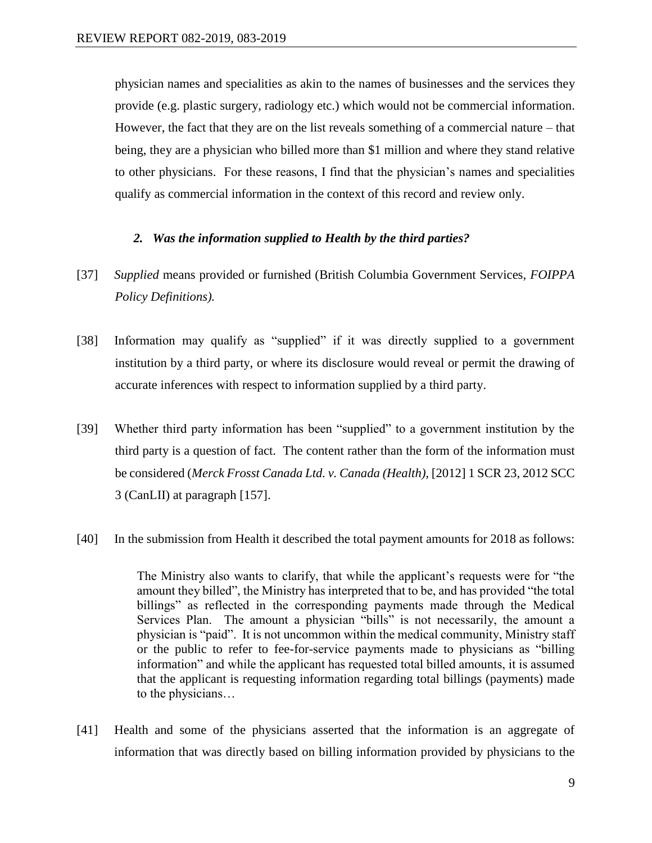physician names and specialities as akin to the names of businesses and the services they provide (e.g. plastic surgery, radiology etc.) which would not be commercial information. However, the fact that they are on the list reveals something of a commercial nature – that being, they are a physician who billed more than \$1 million and where they stand relative to other physicians. For these reasons, I find that the physician's names and specialities qualify as commercial information in the context of this record and review only.

## *2. Was the information supplied to Health by the third parties?*

- [37] *Supplied* means provided or furnished (British Columbia Government Services, *FOIPPA Policy Definitions).*
- [38] Information may qualify as "supplied" if it was directly supplied to a government institution by a third party, or where its disclosure would reveal or permit the drawing of accurate inferences with respect to information supplied by a third party.
- [39] Whether third party information has been "supplied" to a government institution by the third party is a question of fact. The content rather than the form of the information must be considered (*Merck Frosst Canada Ltd. v. Canada (Health),* [2012] 1 SCR 23, 2012 SCC 3 (CanLII) at paragraph [157].
- [40] In the submission from Health it described the total payment amounts for 2018 as follows:

The Ministry also wants to clarify, that while the applicant's requests were for "the amount they billed", the Ministry has interpreted that to be, and has provided "the total billings" as reflected in the corresponding payments made through the Medical Services Plan. The amount a physician "bills" is not necessarily, the amount a physician is "paid". It is not uncommon within the medical community, Ministry staff or the public to refer to fee-for-service payments made to physicians as "billing information" and while the applicant has requested total billed amounts, it is assumed that the applicant is requesting information regarding total billings (payments) made to the physicians…

[41] Health and some of the physicians asserted that the information is an aggregate of information that was directly based on billing information provided by physicians to the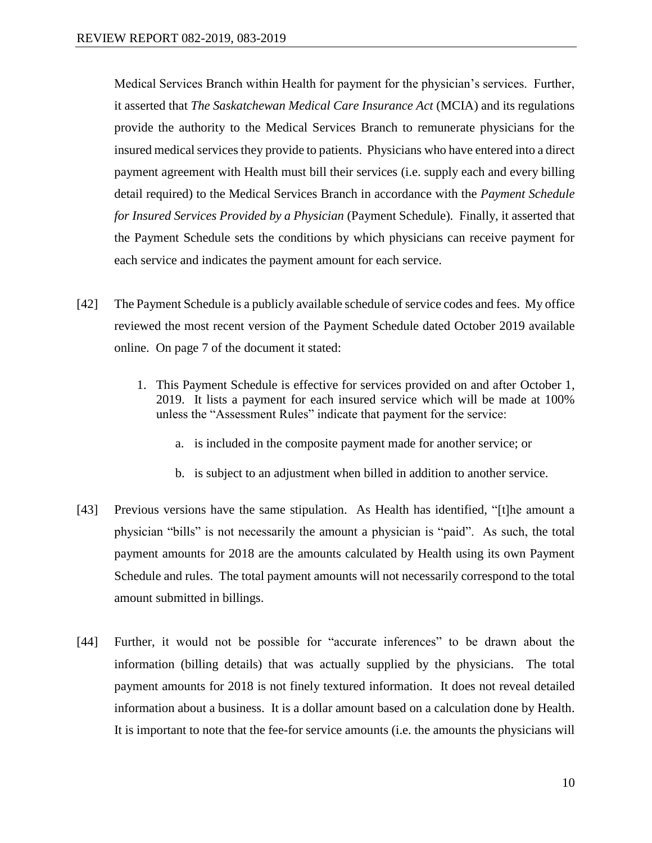Medical Services Branch within Health for payment for the physician's services. Further, it asserted that *The Saskatchewan Medical Care Insurance Act* (MCIA) and its regulations provide the authority to the Medical Services Branch to remunerate physicians for the insured medical services they provide to patients. Physicians who have entered into a direct payment agreement with Health must bill their services (i.e. supply each and every billing detail required) to the Medical Services Branch in accordance with the *Payment Schedule for Insured Services Provided by a Physician* (Payment Schedule). Finally, it asserted that the Payment Schedule sets the conditions by which physicians can receive payment for each service and indicates the payment amount for each service.

- [42] The Payment Schedule is a publicly available schedule of service codes and fees. My office reviewed the most recent version of the Payment Schedule dated October 2019 available online. On page 7 of the document it stated:
	- 1. This Payment Schedule is effective for services provided on and after October 1, 2019. It lists a payment for each insured service which will be made at 100% unless the "Assessment Rules" indicate that payment for the service:
		- a. is included in the composite payment made for another service; or
		- b. is subject to an adjustment when billed in addition to another service.
- [43] Previous versions have the same stipulation. As Health has identified, "[t]he amount a physician "bills" is not necessarily the amount a physician is "paid". As such, the total payment amounts for 2018 are the amounts calculated by Health using its own Payment Schedule and rules. The total payment amounts will not necessarily correspond to the total amount submitted in billings.
- [44] Further, it would not be possible for "accurate inferences" to be drawn about the information (billing details) that was actually supplied by the physicians. The total payment amounts for 2018 is not finely textured information. It does not reveal detailed information about a business. It is a dollar amount based on a calculation done by Health. It is important to note that the fee-for service amounts (i.e. the amounts the physicians will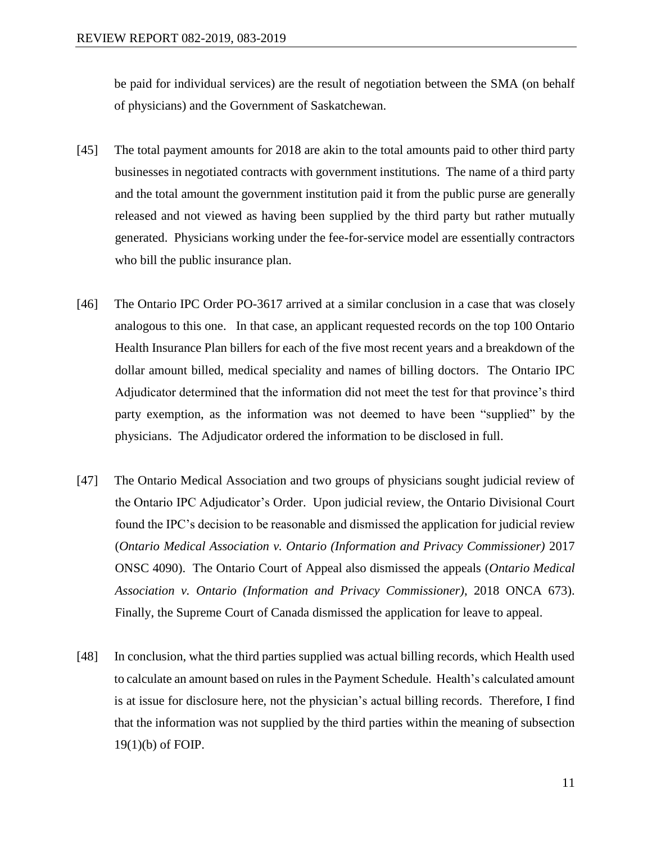be paid for individual services) are the result of negotiation between the SMA (on behalf of physicians) and the Government of Saskatchewan.

- [45] The total payment amounts for 2018 are akin to the total amounts paid to other third party businesses in negotiated contracts with government institutions. The name of a third party and the total amount the government institution paid it from the public purse are generally released and not viewed as having been supplied by the third party but rather mutually generated. Physicians working under the fee-for-service model are essentially contractors who bill the public insurance plan.
- [46] The Ontario IPC Order PO-3617 arrived at a similar conclusion in a case that was closely analogous to this one. In that case, an applicant requested records on the top 100 Ontario Health Insurance Plan billers for each of the five most recent years and a breakdown of the dollar amount billed, medical speciality and names of billing doctors. The Ontario IPC Adjudicator determined that the information did not meet the test for that province's third party exemption, as the information was not deemed to have been "supplied" by the physicians. The Adjudicator ordered the information to be disclosed in full.
- [47] The Ontario Medical Association and two groups of physicians sought judicial review of the Ontario IPC Adjudicator's Order. Upon judicial review, the Ontario Divisional Court found the IPC's decision to be reasonable and dismissed the application for judicial review (*Ontario Medical Association v. Ontario (Information and Privacy Commissioner)* 2017 ONSC 4090). The Ontario Court of Appeal also dismissed the appeals (*Ontario Medical Association v. Ontario (Information and Privacy Commissioner)*, 2018 ONCA 673). Finally, the Supreme Court of Canada dismissed the application for leave to appeal.
- [48] In conclusion, what the third parties supplied was actual billing records, which Health used to calculate an amount based on rules in the Payment Schedule. Health's calculated amount is at issue for disclosure here, not the physician's actual billing records. Therefore, I find that the information was not supplied by the third parties within the meaning of subsection 19(1)(b) of FOIP.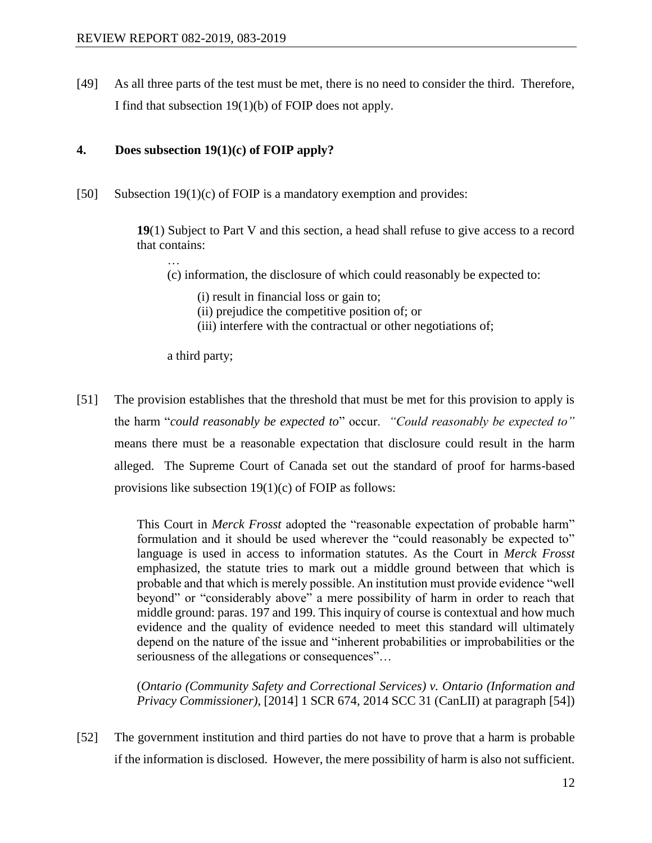[49] As all three parts of the test must be met, there is no need to consider the third. Therefore, I find that subsection 19(1)(b) of FOIP does not apply.

## **4. Does subsection 19(1)(c) of FOIP apply?**

[50] Subsection 19(1)(c) of FOIP is a mandatory exemption and provides:

**19**(1) Subject to Part V and this section, a head shall refuse to give access to a record that contains:

(c) information, the disclosure of which could reasonably be expected to:

- (i) result in financial loss or gain to;
- (ii) prejudice the competitive position of; or
- (iii) interfere with the contractual or other negotiations of;

a third party;

…

[51] The provision establishes that the threshold that must be met for this provision to apply is the harm "*could reasonably be expected to*" occur. *"Could reasonably be expected to"* means there must be a reasonable expectation that disclosure could result in the harm alleged. The Supreme Court of Canada set out the standard of proof for harms-based provisions like subsection 19(1)(c) of FOIP as follows:

> This Court in *Merck Frosst* adopted the "reasonable expectation of probable harm" formulation and it should be used wherever the "could reasonably be expected to" language is used in access to information statutes. As the Court in *Merck Frosst* emphasized, the statute tries to mark out a middle ground between that which is probable and that which is merely possible. An institution must provide evidence "well beyond" or "considerably above" a mere possibility of harm in order to reach that middle ground: paras. 197 and 199. This inquiry of course is contextual and how much evidence and the quality of evidence needed to meet this standard will ultimately depend on the nature of the issue and "inherent probabilities or improbabilities or the seriousness of the allegations or consequences"…

> (*Ontario (Community Safety and Correctional Services) v. Ontario (Information and Privacy Commissioner)*, [2014] 1 SCR 674, 2014 SCC 31 (CanLII) at paragraph [54])

[52] The government institution and third parties do not have to prove that a harm is probable if the information is disclosed. However, the mere possibility of harm is also not sufficient.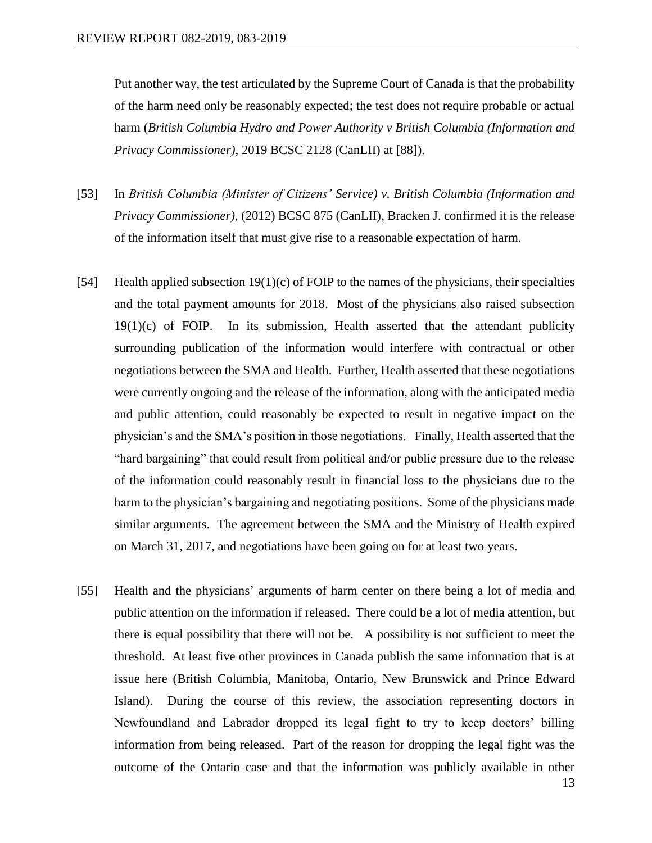Put another way, the test articulated by the Supreme Court of Canada is that the probability of the harm need only be reasonably expected; the test does not require probable or actual harm (*British Columbia Hydro and Power Authority v British Columbia (Information and Privacy Commissioner)*, 2019 BCSC 2128 (CanLII) at [88]).

- [53] In *British Columbia (Minister of Citizens' Service) v. British Columbia (Information and Privacy Commissioner),* (2012) BCSC 875 (CanLII), Bracken J. confirmed it is the release of the information itself that must give rise to a reasonable expectation of harm.
- [54] Health applied subsection  $19(1)(c)$  of FOIP to the names of the physicians, their specialties and the total payment amounts for 2018. Most of the physicians also raised subsection  $19(1)(c)$  of FOIP. In its submission, Health asserted that the attendant publicity surrounding publication of the information would interfere with contractual or other negotiations between the SMA and Health. Further, Health asserted that these negotiations were currently ongoing and the release of the information, along with the anticipated media and public attention, could reasonably be expected to result in negative impact on the physician's and the SMA's position in those negotiations. Finally, Health asserted that the "hard bargaining" that could result from political and/or public pressure due to the release of the information could reasonably result in financial loss to the physicians due to the harm to the physician's bargaining and negotiating positions. Some of the physicians made similar arguments. The agreement between the SMA and the Ministry of Health expired on March 31, 2017, and negotiations have been going on for at least two years.
- [55] Health and the physicians' arguments of harm center on there being a lot of media and public attention on the information if released. There could be a lot of media attention, but there is equal possibility that there will not be. A possibility is not sufficient to meet the threshold. At least five other provinces in Canada publish the same information that is at issue here (British Columbia, Manitoba, Ontario, New Brunswick and Prince Edward Island). During the course of this review, the association representing doctors in Newfoundland and Labrador dropped its legal fight to try to keep doctors' billing information from being released. Part of the reason for dropping the legal fight was the outcome of the Ontario case and that the information was publicly available in other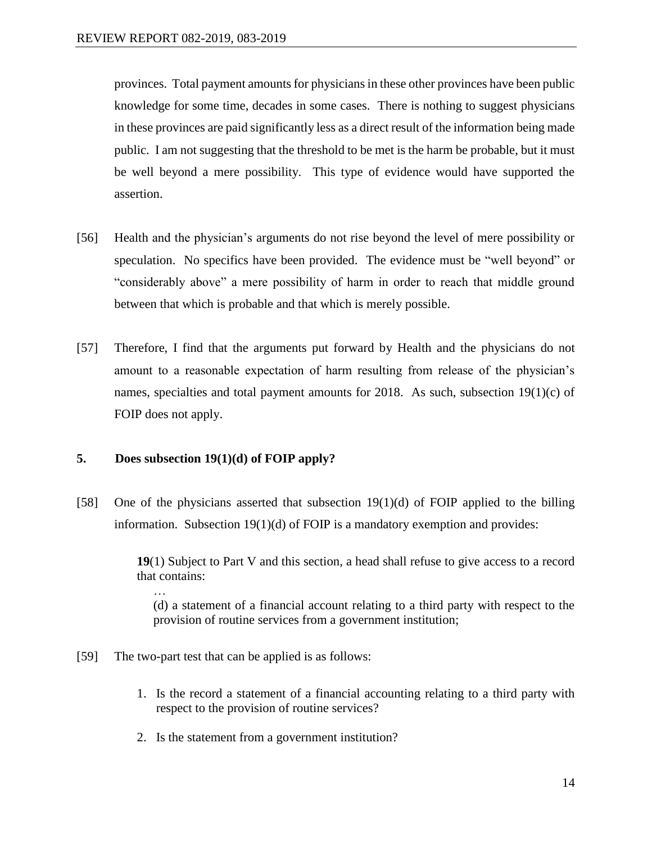provinces. Total payment amounts for physicians in these other provinces have been public knowledge for some time, decades in some cases. There is nothing to suggest physicians in these provinces are paid significantly less as a direct result of the information being made public. I am not suggesting that the threshold to be met is the harm be probable, but it must be well beyond a mere possibility. This type of evidence would have supported the assertion.

- [56] Health and the physician's arguments do not rise beyond the level of mere possibility or speculation. No specifics have been provided. The evidence must be "well beyond" or "considerably above" a mere possibility of harm in order to reach that middle ground between that which is probable and that which is merely possible.
- [57] Therefore, I find that the arguments put forward by Health and the physicians do not amount to a reasonable expectation of harm resulting from release of the physician's names, specialties and total payment amounts for 2018. As such, subsection  $19(1)(c)$  of FOIP does not apply.

## **5. Does subsection 19(1)(d) of FOIP apply?**

[58] One of the physicians asserted that subsection 19(1)(d) of FOIP applied to the billing information. Subsection  $19(1)(d)$  of FOIP is a mandatory exemption and provides:

> **19**(1) Subject to Part V and this section, a head shall refuse to give access to a record that contains: …

(d) a statement of a financial account relating to a third party with respect to the provision of routine services from a government institution;

- [59] The two-part test that can be applied is as follows:
	- 1. Is the record a statement of a financial accounting relating to a third party with respect to the provision of routine services?
	- 2. Is the statement from a government institution?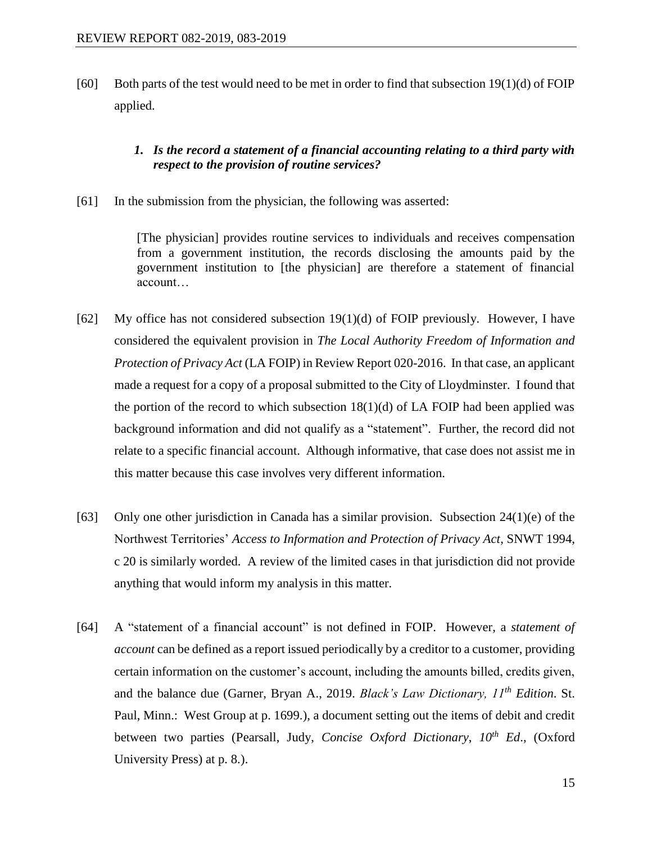[60] Both parts of the test would need to be met in order to find that subsection  $19(1)(d)$  of FOIP applied.

## *1. Is the record a statement of a financial accounting relating to a third party with respect to the provision of routine services?*

[61] In the submission from the physician, the following was asserted:

[The physician] provides routine services to individuals and receives compensation from a government institution, the records disclosing the amounts paid by the government institution to [the physician] are therefore a statement of financial account…

- [62] My office has not considered subsection  $19(1)(d)$  of FOIP previously. However, I have considered the equivalent provision in *The Local Authority Freedom of Information and Protection of Privacy Act* (LA FOIP) in Review Report 020-2016. In that case, an applicant made a request for a copy of a proposal submitted to the City of Lloydminster. I found that the portion of the record to which subsection 18(1)(d) of LA FOIP had been applied was background information and did not qualify as a "statement". Further, the record did not relate to a specific financial account. Although informative, that case does not assist me in this matter because this case involves very different information.
- [63] Only one other jurisdiction in Canada has a similar provision. Subsection 24(1)(e) of the Northwest Territories' *Access to Information and Protection of Privacy Act*, SNWT 1994, c 20 is similarly worded. A review of the limited cases in that jurisdiction did not provide anything that would inform my analysis in this matter.
- [64] A "statement of a financial account" is not defined in FOIP. However, a *statement of account* can be defined as a report issued periodically by a creditor to a customer, providing certain information on the customer's account, including the amounts billed, credits given, and the balance due (Garner, Bryan A., 2019. *Black's Law Dictionary, 11th Edition*. St. Paul, Minn.: West Group at p. 1699.), a document setting out the items of debit and credit between two parties (Pearsall, Judy, *Concise Oxford Dictionary*, *10th Ed*., (Oxford University Press) at p. 8.).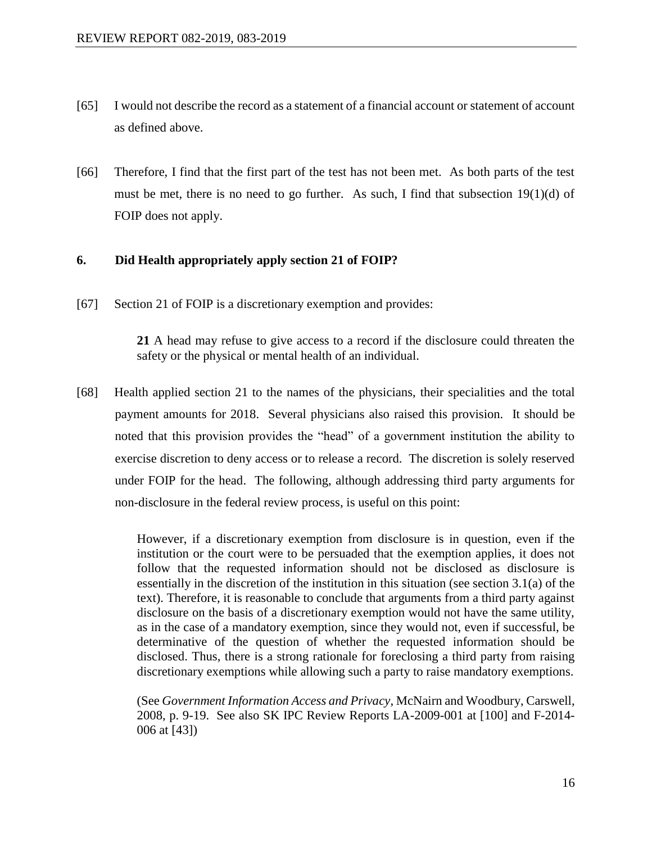- [65] I would not describe the record as a statement of a financial account or statement of account as defined above.
- [66] Therefore, I find that the first part of the test has not been met. As both parts of the test must be met, there is no need to go further. As such, I find that subsection 19(1)(d) of FOIP does not apply.

## **6. Did Health appropriately apply section 21 of FOIP?**

[67] Section 21 of FOIP is a discretionary exemption and provides:

**21** A head may refuse to give access to a record if the disclosure could threaten the safety or the physical or mental health of an individual.

[68] Health applied section 21 to the names of the physicians, their specialities and the total payment amounts for 2018. Several physicians also raised this provision. It should be noted that this provision provides the "head" of a government institution the ability to exercise discretion to deny access or to release a record. The discretion is solely reserved under FOIP for the head. The following, although addressing third party arguments for non-disclosure in the federal review process*,* is useful on this point:

> However, if a discretionary exemption from disclosure is in question, even if the institution or the court were to be persuaded that the exemption applies, it does not follow that the requested information should not be disclosed as disclosure is essentially in the discretion of the institution in this situation (see section 3.1(a) of the text). Therefore, it is reasonable to conclude that arguments from a third party against disclosure on the basis of a discretionary exemption would not have the same utility, as in the case of a mandatory exemption, since they would not, even if successful, be determinative of the question of whether the requested information should be disclosed. Thus, there is a strong rationale for foreclosing a third party from raising discretionary exemptions while allowing such a party to raise mandatory exemptions.

> (See *Government Information Access and Privacy*, McNairn and Woodbury, Carswell, 2008, p. 9-19. See also SK IPC Review Reports LA-2009-001 at [100] and F-2014- 006 at [43])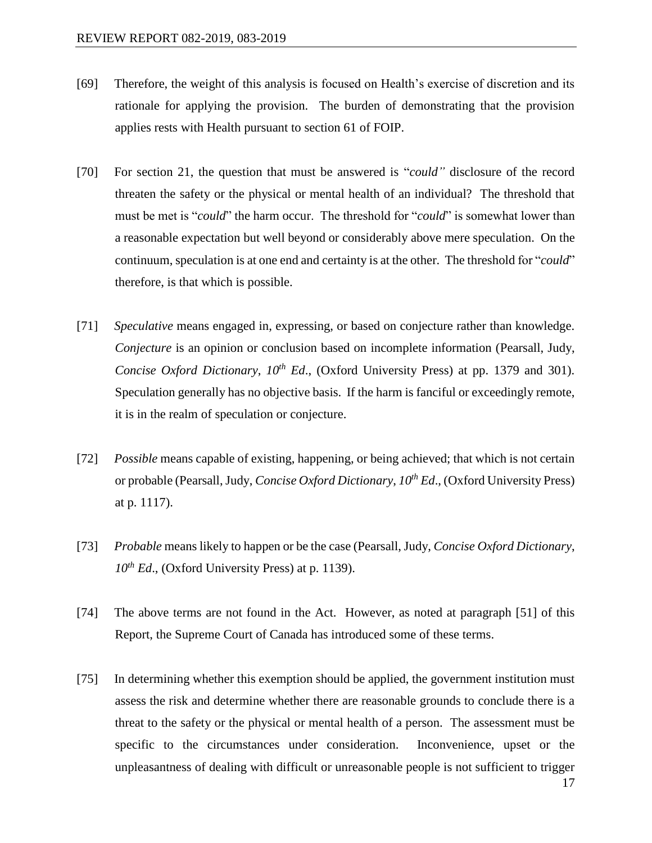- [69] Therefore, the weight of this analysis is focused on Health's exercise of discretion and its rationale for applying the provision. The burden of demonstrating that the provision applies rests with Health pursuant to section 61 of FOIP.
- [70] For section 21, the question that must be answered is "*could"* disclosure of the record threaten the safety or the physical or mental health of an individual? The threshold that must be met is "*could*" the harm occur. The threshold for "*could*" is somewhat lower than a reasonable expectation but well beyond or considerably above mere speculation. On the continuum, speculation is at one end and certainty is at the other. The threshold for "*could*" therefore, is that which is possible.
- [71] *Speculative* means engaged in, expressing, or based on conjecture rather than knowledge. *Conjecture* is an opinion or conclusion based on incomplete information (Pearsall, Judy, *Concise Oxford Dictionary, 10<sup>th</sup> Ed.*, (Oxford University Press) at pp. 1379 and 301). Speculation generally has no objective basis. If the harm is fanciful or exceedingly remote, it is in the realm of speculation or conjecture.
- [72] *Possible* means capable of existing, happening, or being achieved; that which is not certain or probable (Pearsall, Judy, *Concise Oxford Dictionary*, *10th Ed*., (Oxford University Press) at p. 1117).
- [73] *Probable* means likely to happen or be the case (Pearsall, Judy, *Concise Oxford Dictionary*, *10th Ed*., (Oxford University Press) at p. 1139).
- [74] The above terms are not found in the Act. However, as noted at paragraph [51] of this Report, the Supreme Court of Canada has introduced some of these terms.
- [75] In determining whether this exemption should be applied, the government institution must assess the risk and determine whether there are reasonable grounds to conclude there is a threat to the safety or the physical or mental health of a person. The assessment must be specific to the circumstances under consideration. Inconvenience, upset or the unpleasantness of dealing with difficult or unreasonable people is not sufficient to trigger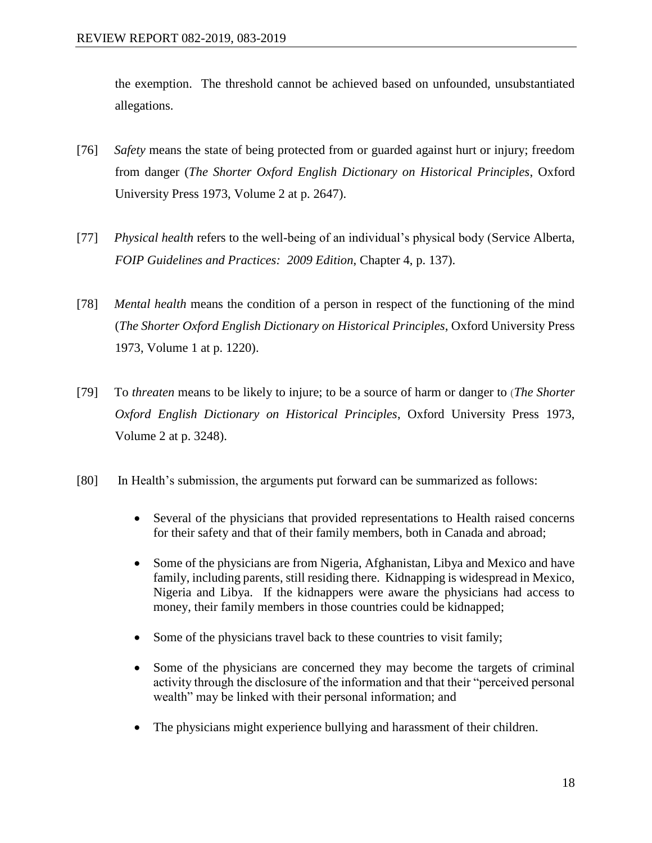the exemption. The threshold cannot be achieved based on unfounded, unsubstantiated allegations.

- [76] *Safety* means the state of being protected from or guarded against hurt or injury; freedom from danger (*The Shorter Oxford English Dictionary on Historical Principles*, Oxford University Press 1973, Volume 2 at p. 2647).
- [77] *Physical health* refers to the well-being of an individual's physical body (Service Alberta, *FOIP Guidelines and Practices: 2009 Edition*, Chapter 4, p. 137).
- [78] *Mental health* means the condition of a person in respect of the functioning of the mind (*The Shorter Oxford English Dictionary on Historical Principles*, Oxford University Press 1973, Volume 1 at p. 1220).
- [79] To *threaten* means to be likely to injure; to be a source of harm or danger to (*The Shorter Oxford English Dictionary on Historical Principles*, Oxford University Press 1973, Volume 2 at p. 3248).
- [80] In Health's submission, the arguments put forward can be summarized as follows:
	- Several of the physicians that provided representations to Health raised concerns for their safety and that of their family members, both in Canada and abroad;
	- Some of the physicians are from Nigeria, Afghanistan, Libya and Mexico and have family, including parents, still residing there. Kidnapping is widespread in Mexico, Nigeria and Libya. If the kidnappers were aware the physicians had access to money, their family members in those countries could be kidnapped;
	- Some of the physicians travel back to these countries to visit family;
	- Some of the physicians are concerned they may become the targets of criminal activity through the disclosure of the information and that their "perceived personal wealth" may be linked with their personal information; and
	- The physicians might experience bullying and harassment of their children.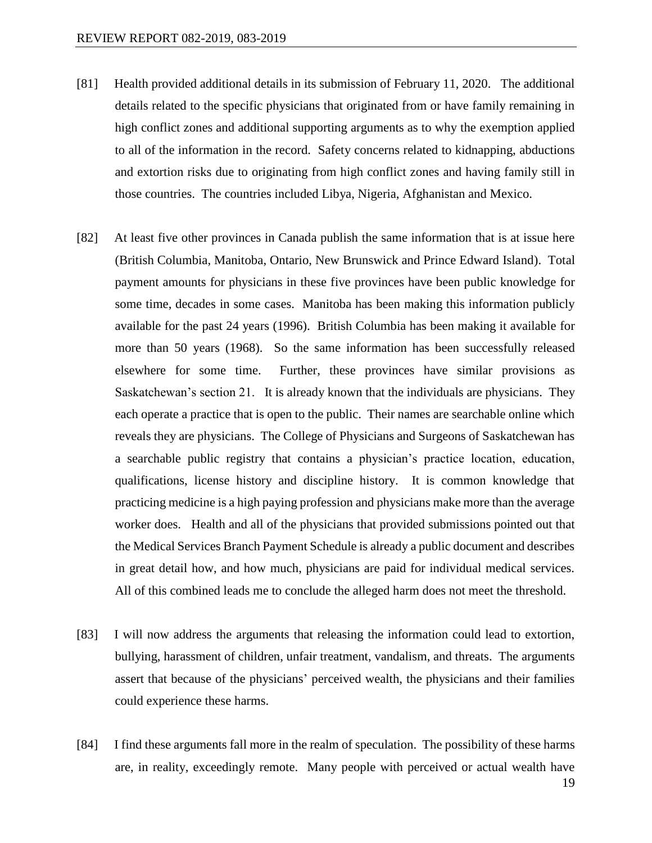- [81] Health provided additional details in its submission of February 11, 2020. The additional details related to the specific physicians that originated from or have family remaining in high conflict zones and additional supporting arguments as to why the exemption applied to all of the information in the record. Safety concerns related to kidnapping, abductions and extortion risks due to originating from high conflict zones and having family still in those countries. The countries included Libya, Nigeria, Afghanistan and Mexico.
- [82] At least five other provinces in Canada publish the same information that is at issue here (British Columbia, Manitoba, Ontario, New Brunswick and Prince Edward Island). Total payment amounts for physicians in these five provinces have been public knowledge for some time, decades in some cases. Manitoba has been making this information publicly available for the past 24 years (1996). British Columbia has been making it available for more than 50 years (1968). So the same information has been successfully released elsewhere for some time. Further, these provinces have similar provisions as Saskatchewan's section 21. It is already known that the individuals are physicians. They each operate a practice that is open to the public. Their names are searchable online which reveals they are physicians. The College of Physicians and Surgeons of Saskatchewan has a searchable public registry that contains a physician's practice location, education, qualifications, license history and discipline history. It is common knowledge that practicing medicine is a high paying profession and physicians make more than the average worker does. Health and all of the physicians that provided submissions pointed out that the Medical Services Branch Payment Schedule is already a public document and describes in great detail how, and how much, physicians are paid for individual medical services. All of this combined leads me to conclude the alleged harm does not meet the threshold.
- [83] I will now address the arguments that releasing the information could lead to extortion, bullying, harassment of children, unfair treatment, vandalism, and threats. The arguments assert that because of the physicians' perceived wealth, the physicians and their families could experience these harms.
- [84] I find these arguments fall more in the realm of speculation. The possibility of these harms are, in reality, exceedingly remote. Many people with perceived or actual wealth have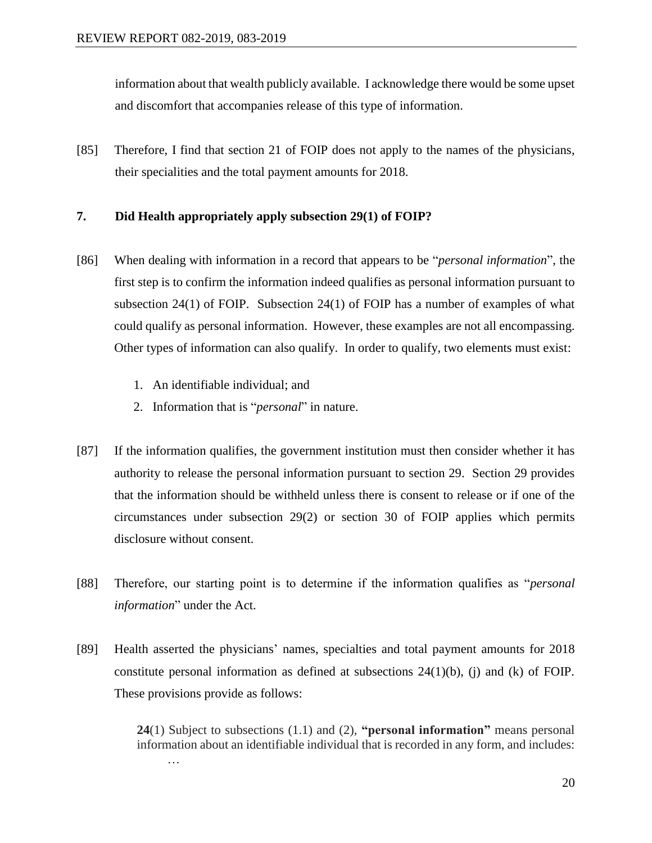information about that wealth publicly available. I acknowledge there would be some upset and discomfort that accompanies release of this type of information.

[85] Therefore, I find that section 21 of FOIP does not apply to the names of the physicians, their specialities and the total payment amounts for 2018.

#### **7. Did Health appropriately apply subsection 29(1) of FOIP?**

- [86] When dealing with information in a record that appears to be "*personal information*", the first step is to confirm the information indeed qualifies as personal information pursuant to subsection 24(1) of FOIP. Subsection 24(1) of FOIP has a number of examples of what could qualify as personal information. However, these examples are not all encompassing. Other types of information can also qualify. In order to qualify, two elements must exist:
	- 1. An identifiable individual; and
	- 2. Information that is "*personal*" in nature.
- [87] If the information qualifies, the government institution must then consider whether it has authority to release the personal information pursuant to section 29. Section 29 provides that the information should be withheld unless there is consent to release or if one of the circumstances under subsection 29(2) or section 30 of FOIP applies which permits disclosure without consent.
- [88] Therefore, our starting point is to determine if the information qualifies as "*personal information*" under the Act.
- [89] Health asserted the physicians' names, specialties and total payment amounts for 2018 constitute personal information as defined at subsections  $24(1)(b)$ , (j) and (k) of FOIP. These provisions provide as follows:

**24**(1) Subject to subsections (1.1) and (2), **"personal information"** means personal information about an identifiable individual that is recorded in any form, and includes: …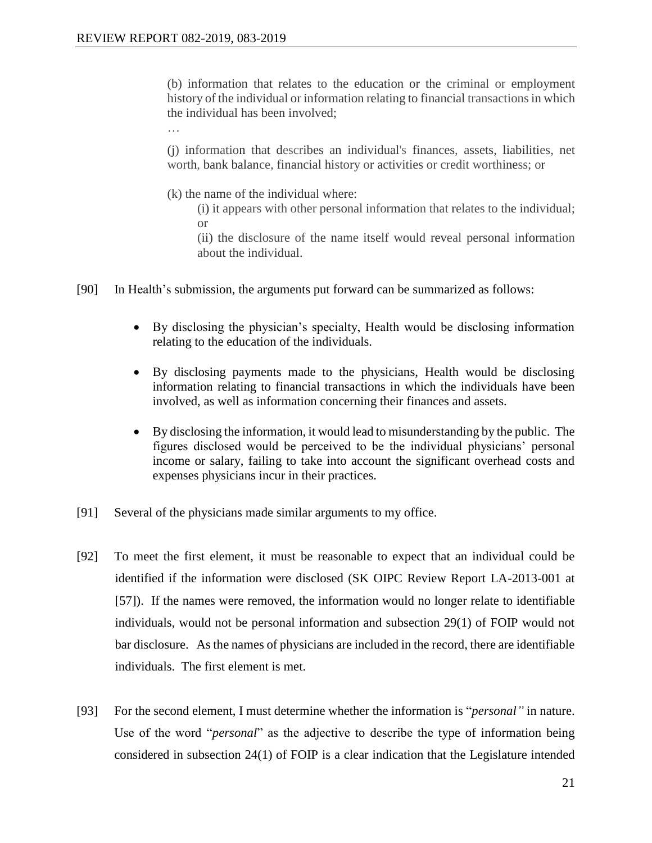…

(b) information that relates to the education or the criminal or employment history of the individual or information relating to financial transactions in which the individual has been involved;

(j) information that describes an individual's finances, assets, liabilities, net worth, bank balance, financial history or activities or credit worthiness; or

(k) the name of the individual where:

(i) it appears with other personal information that relates to the individual; or

(ii) the disclosure of the name itself would reveal personal information about the individual.

- [90] In Health's submission, the arguments put forward can be summarized as follows:
	- By disclosing the physician's specialty, Health would be disclosing information relating to the education of the individuals.
	- By disclosing payments made to the physicians, Health would be disclosing information relating to financial transactions in which the individuals have been involved, as well as information concerning their finances and assets.
	- By disclosing the information, it would lead to misunderstanding by the public. The figures disclosed would be perceived to be the individual physicians' personal income or salary, failing to take into account the significant overhead costs and expenses physicians incur in their practices.
- [91] Several of the physicians made similar arguments to my office.
- [92] To meet the first element, it must be reasonable to expect that an individual could be identified if the information were disclosed (SK OIPC Review Report LA-2013-001 at [57]). If the names were removed, the information would no longer relate to identifiable individuals, would not be personal information and subsection 29(1) of FOIP would not bar disclosure. As the names of physicians are included in the record, there are identifiable individuals. The first element is met.
- [93] For the second element, I must determine whether the information is "*personal"* in nature. Use of the word "*personal*" as the adjective to describe the type of information being considered in subsection 24(1) of FOIP is a clear indication that the Legislature intended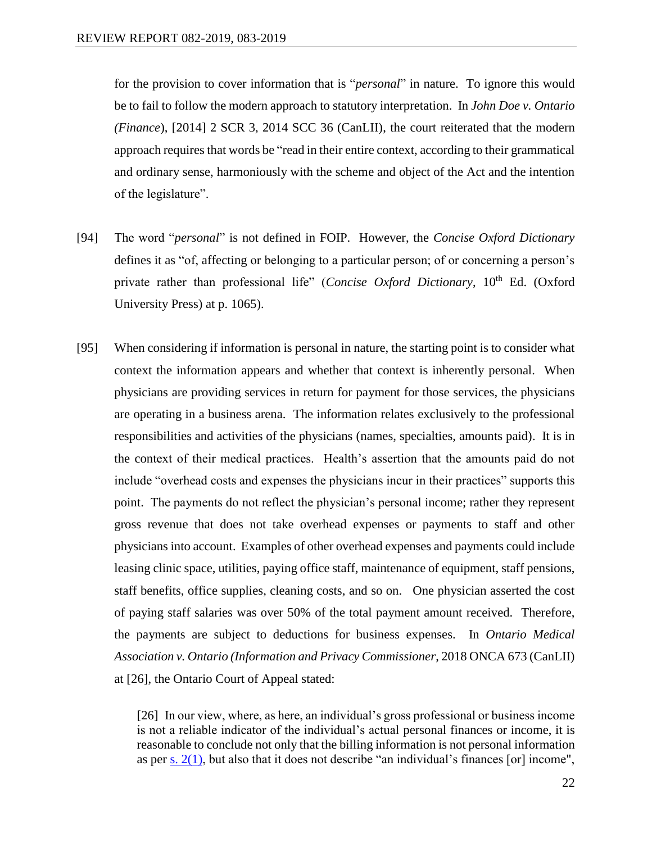for the provision to cover information that is "*personal*" in nature. To ignore this would be to fail to follow the modern approach to statutory interpretation. In *John Doe v. Ontario (Finance*), [2014] 2 SCR 3, 2014 SCC 36 (CanLII), the court reiterated that the modern approach requires that words be "read in their entire context, according to their grammatical and ordinary sense, harmoniously with the scheme and object of the Act and the intention of the legislature".

- [94] The word "*personal*" is not defined in FOIP. However, the *Concise Oxford Dictionary* defines it as "of, affecting or belonging to a particular person; of or concerning a person's private rather than professional life" (*Concise Oxford Dictionary*, 10<sup>th</sup> Ed. (Oxford University Press) at p. 1065).
- [95] When considering if information is personal in nature, the starting point is to consider what context the information appears and whether that context is inherently personal. When physicians are providing services in return for payment for those services, the physicians are operating in a business arena. The information relates exclusively to the professional responsibilities and activities of the physicians (names, specialties, amounts paid). It is in the context of their medical practices. Health's assertion that the amounts paid do not include "overhead costs and expenses the physicians incur in their practices" supports this point. The payments do not reflect the physician's personal income; rather they represent gross revenue that does not take overhead expenses or payments to staff and other physicians into account. Examples of other overhead expenses and payments could include leasing clinic space, utilities, paying office staff, maintenance of equipment, staff pensions, staff benefits, office supplies, cleaning costs, and so on. One physician asserted the cost of paying staff salaries was over 50% of the total payment amount received. Therefore, the payments are subject to deductions for business expenses. In *Ontario Medical Association v. Ontario (Information and Privacy Commissioner*, 2018 ONCA 673 (CanLII) at [26], the Ontario Court of Appeal stated:

[26] In our view, where, as here, an individual's gross professional or business income is not a reliable indicator of the individual's actual personal finances or income, it is reasonable to conclude not only that the billing information is not personal information as per  $\frac{s. 2(1)}{s}$ , but also that it does not describe "an individual's finances [or] income",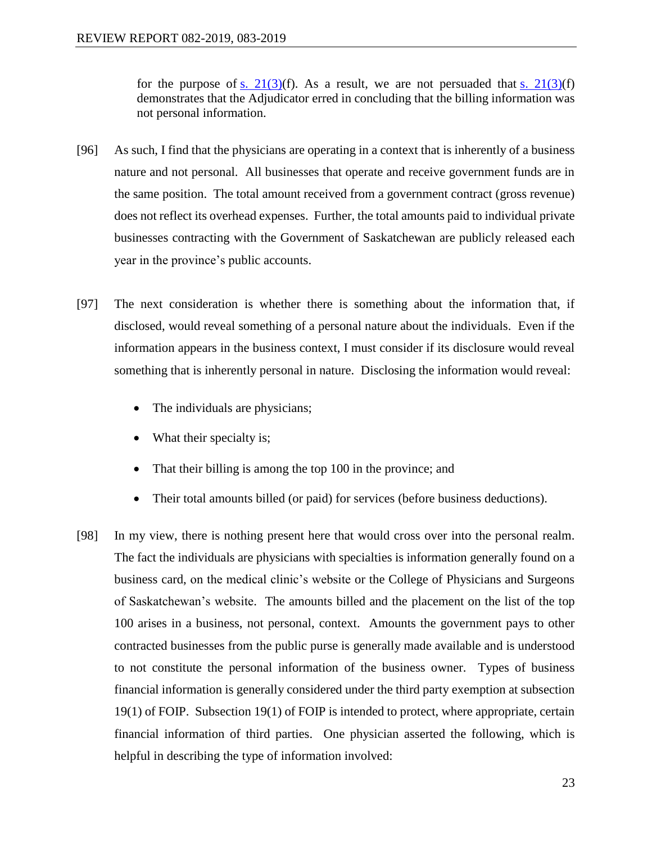for the purpose of s.  $21(3)(f)$ . As a result, we are not persuaded that s.  $21(3)(f)$ demonstrates that the Adjudicator erred in concluding that the billing information was not personal information.

- [96] As such, I find that the physicians are operating in a context that is inherently of a business nature and not personal. All businesses that operate and receive government funds are in the same position. The total amount received from a government contract (gross revenue) does not reflect its overhead expenses. Further, the total amounts paid to individual private businesses contracting with the Government of Saskatchewan are publicly released each year in the province's public accounts.
- [97] The next consideration is whether there is something about the information that, if disclosed, would reveal something of a personal nature about the individuals. Even if the information appears in the business context, I must consider if its disclosure would reveal something that is inherently personal in nature. Disclosing the information would reveal:
	- The individuals are physicians;
	- What their specialty is;
	- That their billing is among the top 100 in the province; and
	- Their total amounts billed (or paid) for services (before business deductions).
- [98] In my view, there is nothing present here that would cross over into the personal realm. The fact the individuals are physicians with specialties is information generally found on a business card, on the medical clinic's website or the College of Physicians and Surgeons of Saskatchewan's website. The amounts billed and the placement on the list of the top 100 arises in a business, not personal, context. Amounts the government pays to other contracted businesses from the public purse is generally made available and is understood to not constitute the personal information of the business owner. Types of business financial information is generally considered under the third party exemption at subsection 19(1) of FOIP. Subsection 19(1) of FOIP is intended to protect, where appropriate, certain financial information of third parties. One physician asserted the following, which is helpful in describing the type of information involved: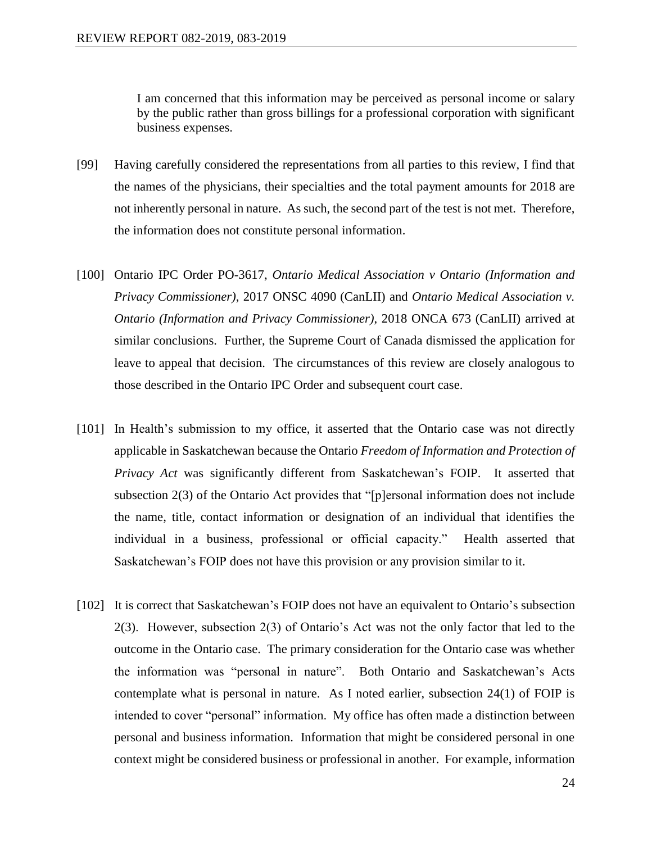I am concerned that this information may be perceived as personal income or salary by the public rather than gross billings for a professional corporation with significant business expenses.

- [99] Having carefully considered the representations from all parties to this review, I find that the names of the physicians, their specialties and the total payment amounts for 2018 are not inherently personal in nature. As such, the second part of the test is not met. Therefore, the information does not constitute personal information.
- [100] Ontario IPC Order PO-3617, *Ontario Medical Association v Ontario (Information and Privacy Commissioner)*, 2017 ONSC 4090 (CanLII) and *Ontario Medical Association v. Ontario (Information and Privacy Commissioner)*, 2018 ONCA 673 (CanLII) arrived at similar conclusions. Further, the Supreme Court of Canada dismissed the application for leave to appeal that decision. The circumstances of this review are closely analogous to those described in the Ontario IPC Order and subsequent court case.
- [101] In Health's submission to my office, it asserted that the Ontario case was not directly applicable in Saskatchewan because the Ontario *Freedom of Information and Protection of Privacy Act* was significantly different from Saskatchewan's FOIP. It asserted that subsection 2(3) of the Ontario Act provides that "[p]ersonal information does not include the name, title, contact information or designation of an individual that identifies the individual in a business, professional or official capacity." Health asserted that Saskatchewan's FOIP does not have this provision or any provision similar to it.
- [102] It is correct that Saskatchewan's FOIP does not have an equivalent to Ontario's subsection 2(3). However, subsection 2(3) of Ontario's Act was not the only factor that led to the outcome in the Ontario case. The primary consideration for the Ontario case was whether the information was "personal in nature". Both Ontario and Saskatchewan's Acts contemplate what is personal in nature. As I noted earlier, subsection  $24(1)$  of FOIP is intended to cover "personal" information. My office has often made a distinction between personal and business information. Information that might be considered personal in one context might be considered business or professional in another. For example, information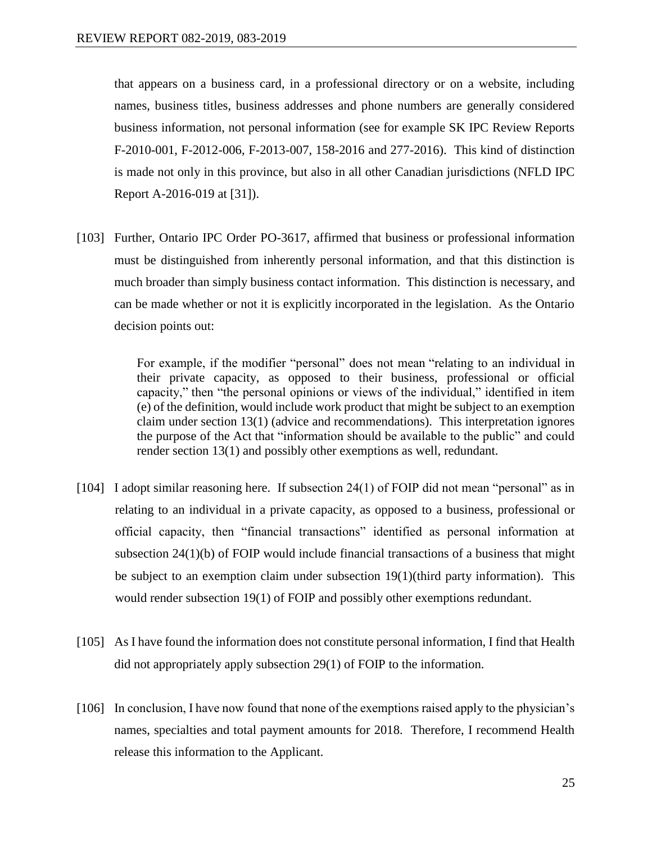that appears on a business card, in a professional directory or on a website, including names, business titles, business addresses and phone numbers are generally considered business information, not personal information (see for example SK IPC Review Reports F-2010-001, F-2012-006, F-2013-007, 158-2016 and 277-2016). This kind of distinction is made not only in this province, but also in all other Canadian jurisdictions (NFLD IPC Report A-2016-019 at [31]).

[103] Further, Ontario IPC Order PO-3617, affirmed that business or professional information must be distinguished from inherently personal information, and that this distinction is much broader than simply business contact information. This distinction is necessary, and can be made whether or not it is explicitly incorporated in the legislation. As the Ontario decision points out:

> For example, if the modifier "personal" does not mean "relating to an individual in their private capacity, as opposed to their business, professional or official capacity," then "the personal opinions or views of the individual," identified in item (e) of the definition, would include work product that might be subject to an exemption claim under section 13(1) (advice and recommendations). This interpretation ignores the purpose of the Act that "information should be available to the public" and could render section 13(1) and possibly other exemptions as well, redundant.

- [104] I adopt similar reasoning here. If subsection 24(1) of FOIP did not mean "personal" as in relating to an individual in a private capacity, as opposed to a business, professional or official capacity, then "financial transactions" identified as personal information at subsection 24(1)(b) of FOIP would include financial transactions of a business that might be subject to an exemption claim under subsection 19(1)(third party information). This would render subsection 19(1) of FOIP and possibly other exemptions redundant.
- [105] As I have found the information does not constitute personal information, I find that Health did not appropriately apply subsection 29(1) of FOIP to the information.
- [106] In conclusion, I have now found that none of the exemptions raised apply to the physician's names, specialties and total payment amounts for 2018. Therefore, I recommend Health release this information to the Applicant.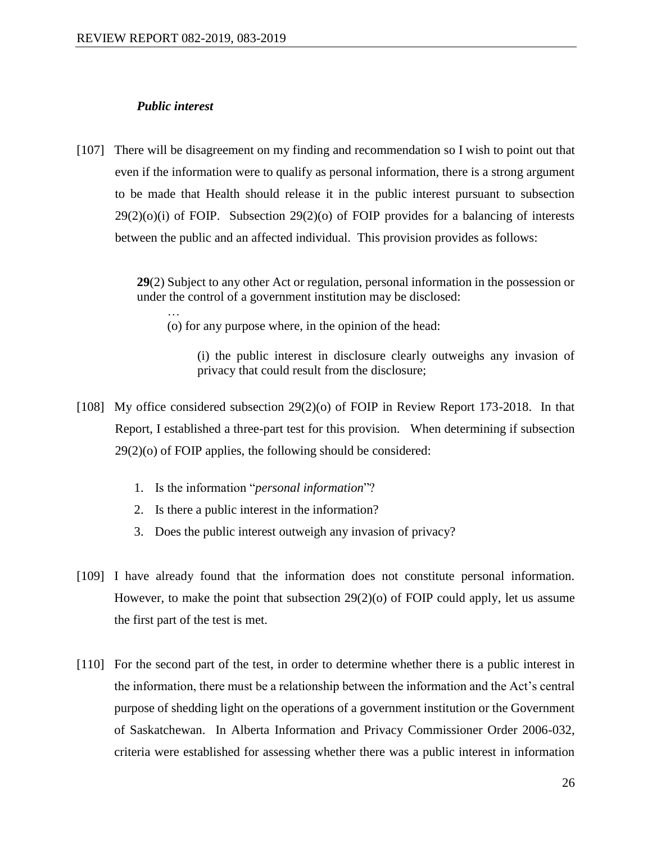#### *Public interest*

…

[107] There will be disagreement on my finding and recommendation so I wish to point out that even if the information were to qualify as personal information, there is a strong argument to be made that Health should release it in the public interest pursuant to subsection  $29(2)(o)(i)$  of FOIP. Subsection  $29(2)(o)$  of FOIP provides for a balancing of interests between the public and an affected individual. This provision provides as follows:

> **29**(2) Subject to any other Act or regulation, personal information in the possession or under the control of a government institution may be disclosed:

(o) for any purpose where, in the opinion of the head:

(i) the public interest in disclosure clearly outweighs any invasion of privacy that could result from the disclosure;

- [108] My office considered subsection 29(2)(o) of FOIP in Review Report 173-2018. In that Report, I established a three-part test for this provision. When determining if subsection 29(2)(o) of FOIP applies, the following should be considered:
	- 1. Is the information "*personal information*"?
	- 2. Is there a public interest in the information?
	- 3. Does the public interest outweigh any invasion of privacy?
- [109] I have already found that the information does not constitute personal information. However, to make the point that subsection  $29(2)(o)$  of FOIP could apply, let us assume the first part of the test is met.
- [110] For the second part of the test, in order to determine whether there is a public interest in the information, there must be a relationship between the information and the Act's central purpose of shedding light on the operations of a government institution or the Government of Saskatchewan. In Alberta Information and Privacy Commissioner Order 2006-032, criteria were established for assessing whether there was a public interest in information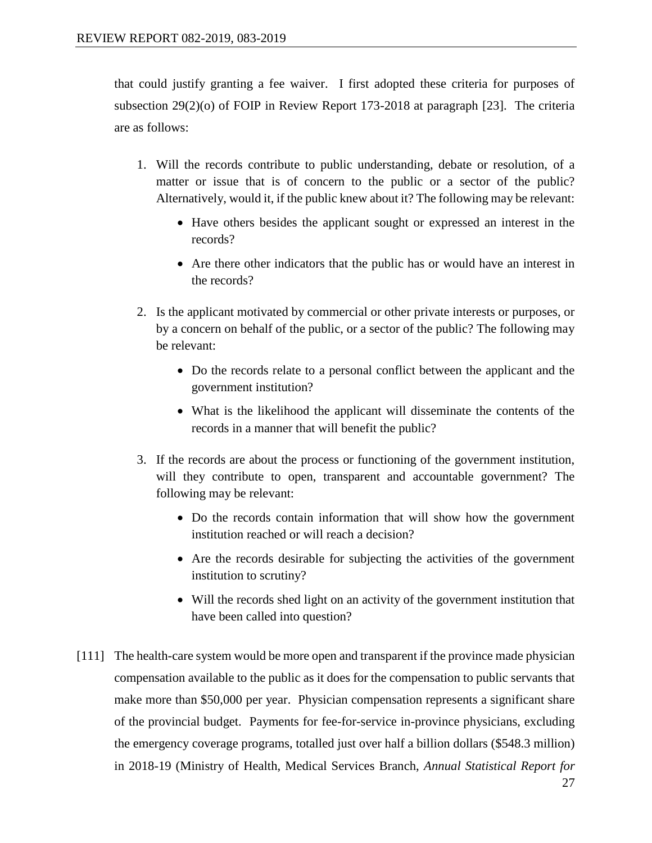that could justify granting a fee waiver. I first adopted these criteria for purposes of subsection 29(2)(o) of FOIP in Review Report 173-2018 at paragraph [23]. The criteria are as follows:

- 1. Will the records contribute to public understanding, debate or resolution, of a matter or issue that is of concern to the public or a sector of the public? Alternatively, would it, if the public knew about it? The following may be relevant:
	- Have others besides the applicant sought or expressed an interest in the records?
	- Are there other indicators that the public has or would have an interest in the records?
- 2. Is the applicant motivated by commercial or other private interests or purposes, or by a concern on behalf of the public, or a sector of the public? The following may be relevant:
	- Do the records relate to a personal conflict between the applicant and the government institution?
	- What is the likelihood the applicant will disseminate the contents of the records in a manner that will benefit the public?
- 3. If the records are about the process or functioning of the government institution, will they contribute to open, transparent and accountable government? The following may be relevant:
	- Do the records contain information that will show how the government institution reached or will reach a decision?
	- Are the records desirable for subjecting the activities of the government institution to scrutiny?
	- Will the records shed light on an activity of the government institution that have been called into question?
- [111] The health-care system would be more open and transparent if the province made physician compensation available to the public as it does for the compensation to public servants that make more than \$50,000 per year. Physician compensation represents a significant share of the provincial budget. Payments for fee-for-service in-province physicians, excluding the emergency coverage programs, totalled just over half a billion dollars (\$548.3 million) in 2018-19 (Ministry of Health, Medical Services Branch, *Annual Statistical Report for*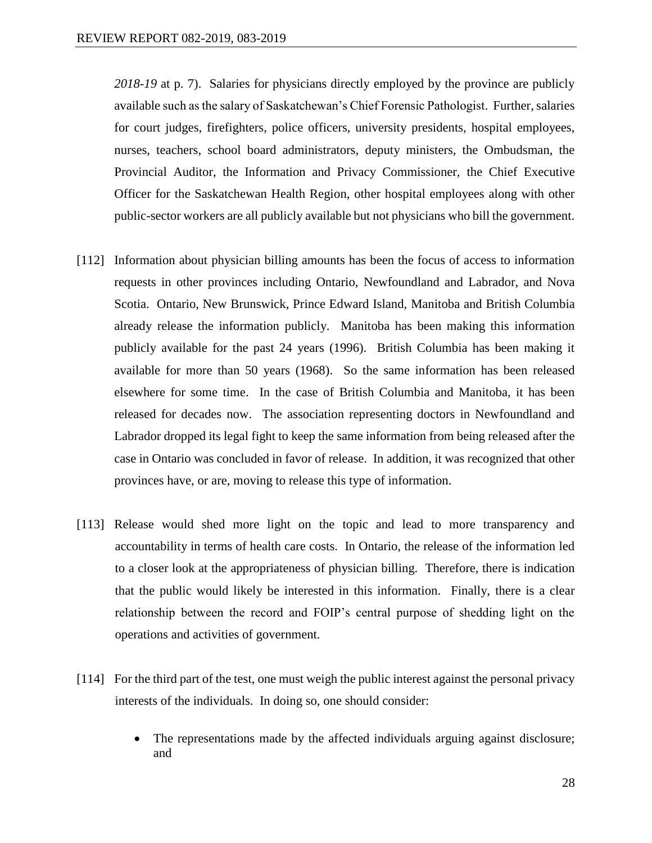*2018-19* at p. 7). Salaries for physicians directly employed by the province are publicly available such as the salary of Saskatchewan's Chief Forensic Pathologist. Further, salaries for court judges, firefighters, police officers, university presidents, hospital employees, nurses, teachers, school board administrators, deputy ministers, the Ombudsman, the Provincial Auditor, the Information and Privacy Commissioner, the Chief Executive Officer for the Saskatchewan Health Region, other hospital employees along with other public-sector workers are all publicly available but not physicians who bill the government.

- [112] Information about physician billing amounts has been the focus of access to information requests in other provinces including Ontario, Newfoundland and Labrador, and Nova Scotia. Ontario, New Brunswick, Prince Edward Island, Manitoba and British Columbia already release the information publicly. Manitoba has been making this information publicly available for the past 24 years (1996). British Columbia has been making it available for more than 50 years (1968). So the same information has been released elsewhere for some time. In the case of British Columbia and Manitoba, it has been released for decades now. The association representing doctors in Newfoundland and Labrador dropped its legal fight to keep the same information from being released after the case in Ontario was concluded in favor of release. In addition, it was recognized that other provinces have, or are, moving to release this type of information.
- [113] Release would shed more light on the topic and lead to more transparency and accountability in terms of health care costs. In Ontario, the release of the information led to a closer look at the appropriateness of physician billing. Therefore, there is indication that the public would likely be interested in this information. Finally, there is a clear relationship between the record and FOIP's central purpose of shedding light on the operations and activities of government.
- [114] For the third part of the test, one must weigh the public interest against the personal privacy interests of the individuals. In doing so, one should consider:
	- The representations made by the affected individuals arguing against disclosure; and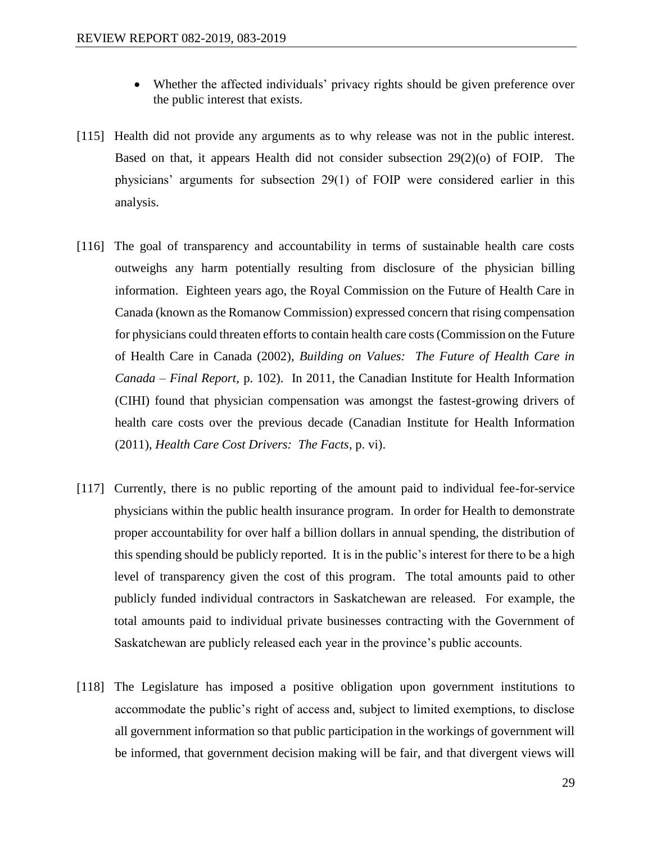- Whether the affected individuals' privacy rights should be given preference over the public interest that exists.
- [115] Health did not provide any arguments as to why release was not in the public interest. Based on that, it appears Health did not consider subsection 29(2)(o) of FOIP. The physicians' arguments for subsection 29(1) of FOIP were considered earlier in this analysis.
- [116] The goal of transparency and accountability in terms of sustainable health care costs outweighs any harm potentially resulting from disclosure of the physician billing information. Eighteen years ago, the Royal Commission on the Future of Health Care in Canada (known as the Romanow Commission) expressed concern that rising compensation for physicians could threaten efforts to contain health care costs (Commission on the Future of Health Care in Canada (2002), *Building on Values: The Future of Health Care in Canada – Final Report*, p. 102). In 2011, the Canadian Institute for Health Information (CIHI) found that physician compensation was amongst the fastest-growing drivers of health care costs over the previous decade (Canadian Institute for Health Information (2011), *Health Care Cost Drivers: The Facts*, p. vi).
- [117] Currently, there is no public reporting of the amount paid to individual fee-for-service physicians within the public health insurance program. In order for Health to demonstrate proper accountability for over half a billion dollars in annual spending, the distribution of this spending should be publicly reported. It is in the public's interest for there to be a high level of transparency given the cost of this program. The total amounts paid to other publicly funded individual contractors in Saskatchewan are released. For example, the total amounts paid to individual private businesses contracting with the Government of Saskatchewan are publicly released each year in the province's public accounts.
- [118] The Legislature has imposed a positive obligation upon government institutions to accommodate the public's right of access and, subject to limited exemptions, to disclose all government information so that public participation in the workings of government will be informed, that government decision making will be fair, and that divergent views will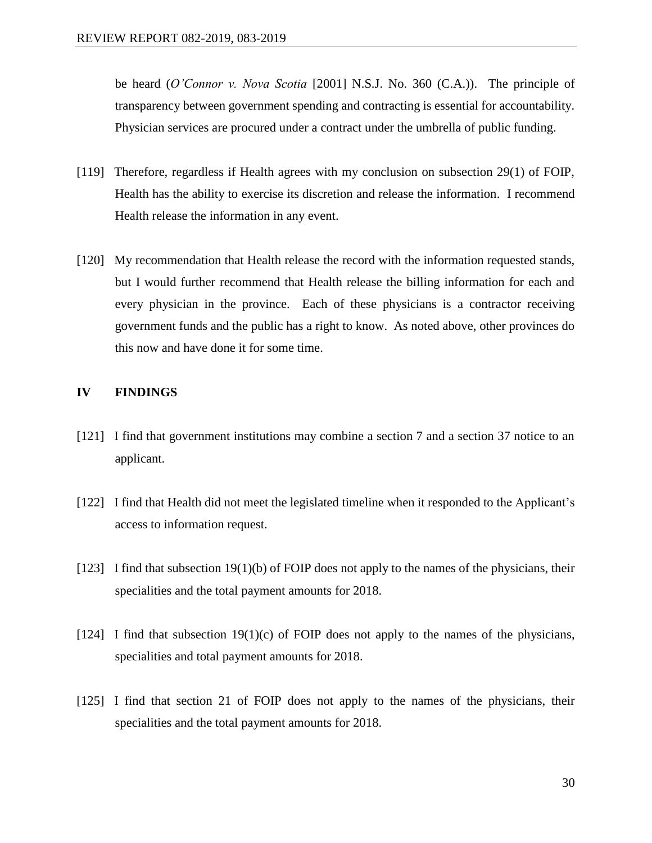be heard (*O'Connor v. Nova Scotia* [2001] N.S.J. No. 360 (C.A.)). The principle of transparency between government spending and contracting is essential for accountability. Physician services are procured under a contract under the umbrella of public funding.

- [119] Therefore, regardless if Health agrees with my conclusion on subsection 29(1) of FOIP, Health has the ability to exercise its discretion and release the information. I recommend Health release the information in any event.
- [120] My recommendation that Health release the record with the information requested stands, but I would further recommend that Health release the billing information for each and every physician in the province. Each of these physicians is a contractor receiving government funds and the public has a right to know. As noted above, other provinces do this now and have done it for some time.

#### **IV FINDINGS**

- [121] I find that government institutions may combine a section 7 and a section 37 notice to an applicant.
- [122] I find that Health did not meet the legislated timeline when it responded to the Applicant's access to information request.
- $[123]$  I find that subsection 19(1)(b) of FOIP does not apply to the names of the physicians, their specialities and the total payment amounts for 2018.
- [124] I find that subsection  $19(1)(c)$  of FOIP does not apply to the names of the physicians, specialities and total payment amounts for 2018.
- [125] I find that section 21 of FOIP does not apply to the names of the physicians, their specialities and the total payment amounts for 2018.